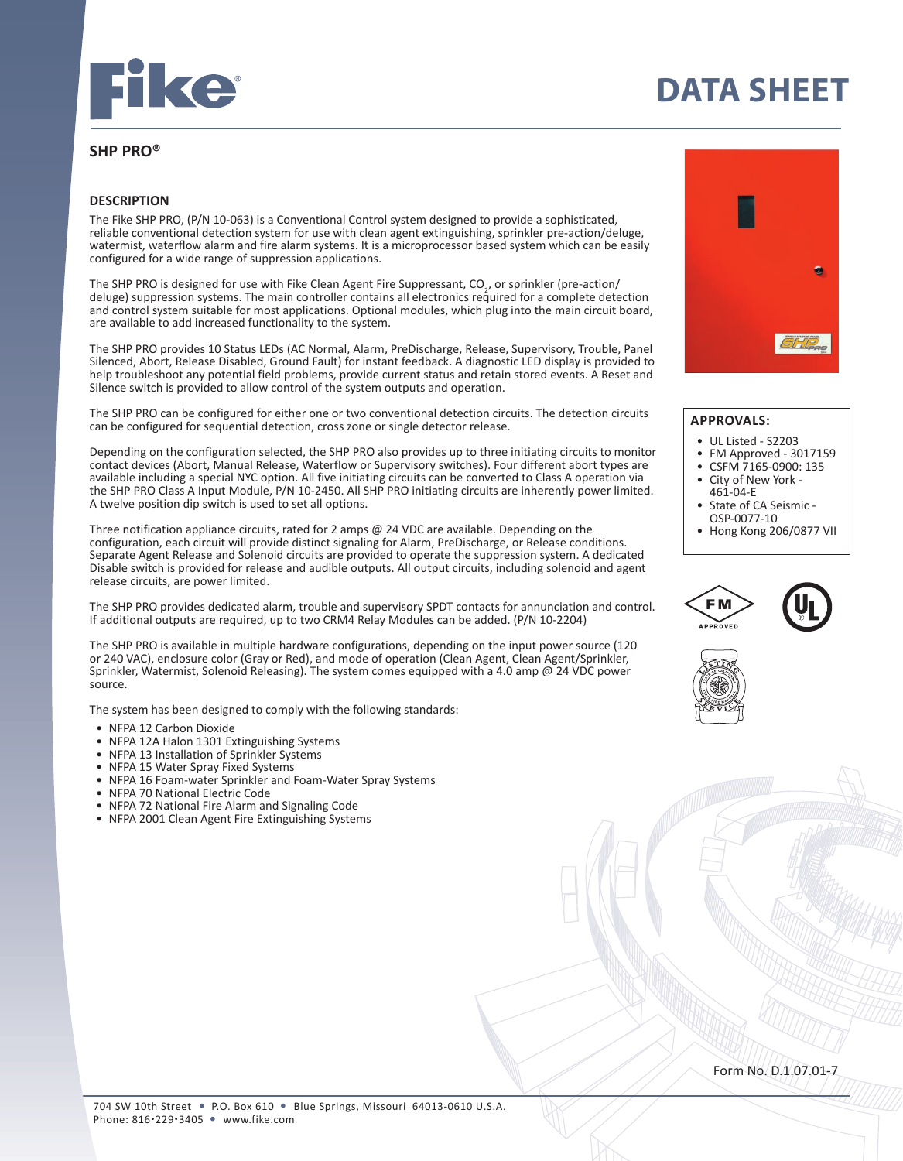

# **SHP PRO®**

## **DESCRIPTION**

The Fike SHP PRO, (P/N 10-063) is a Conventional Control system designed to provide a sophisticated, reliable conventional detection system for use with clean agent extinguishing, sprinkler pre-action/deluge, watermist, waterflow alarm and fire alarm systems. It is a microprocessor based system which can be easily configured for a wide range of suppression applications.

The SHP PRO is designed for use with Fike Clean Agent Fire Suppressant,  $CO_2$ , or sprinkler (pre-action/ deluge) suppression systems. The main controller contains all electronics required for a complete detection and control system suitable for most applications. Optional modules, which plug into the main circuit board, are available to add increased functionality to the system.

The SHP PRO provides 10 Status LEDs (AC Normal, Alarm, PreDischarge, Release, Supervisory, Trouble, Panel Silenced, Abort, Release Disabled, Ground Fault) for instant feedback. A diagnostic LED display is provided to help troubleshoot any potential field problems, provide current status and retain stored events. A Reset and Silence switch is provided to allow control of the system outputs and operation.

The SHP PRO can be configured for either one or two conventional detection circuits. The detection circuits can be configured for sequential detection, cross zone or single detector release.

Depending on the configuration selected, the SHP PRO also provides up to three initiating circuits to monitor contact devices (Abort, Manual Release, Waterflow or Supervisory switches). Four different abort types are available including a special NYC option. All five initiating circuits can be converted to Class A operation via the SHP PRO Class A Input Module, P/N 10-2450. All SHP PRO initiating circuits are inherently power limited. A twelve position dip switch is used to set all options.

Three notification appliance circuits, rated for 2 amps @ 24 VDC are available. Depending on the configuration, each circuit will provide distinct signaling for Alarm, PreDischarge, or Release conditions. Separate Agent Release and Solenoid circuits are provided to operate the suppression system. A dedicated Disable switch is provided for release and audible outputs. All output circuits, including solenoid and agent release circuits, are power limited.

The SHP PRO provides dedicated alarm, trouble and supervisory SPDT contacts for annunciation and control. If additional outputs are required, up to two CRM4 Relay Modules can be added. (P/N 10-2204)

The SHP PRO is available in multiple hardware configurations, depending on the input power source (120 or 240 VAC), enclosure color (Gray or Red), and mode of operation (Clean Agent, Clean Agent/Sprinkler, Sprinkler, Watermist, Solenoid Releasing). The system comes equipped with a 4.0 amp @ 24 VDC power source.

The system has been designed to comply with the following standards:

- 
- NFPA 12 Carbon Dioxide<br>• NFPA 12A Halon 1301 Extinguishing Systems
- 
- 
- NFPA 13 Installation of Sprinkler Systems<br>
NFPA 15 Water Spray Fixed Systems<br>
NFPA 16 Foam-water Sprinkler and Foam-Water Spray Systems<br>
NFPA 70 National Electric Code<br>
NFPA 72 National Fire Alarm and Signaling C
- 
- 
- 



**DATA SHEET**

#### **APPROVALS:**

- UL Listed S2203
- **FM Approved 3017159**
- • CSFM 7165-0900: 135
- City of New York -461-04-E
- State of CA Seismic -OSP-0077-10
- • Hong Kong 206/0877 VII